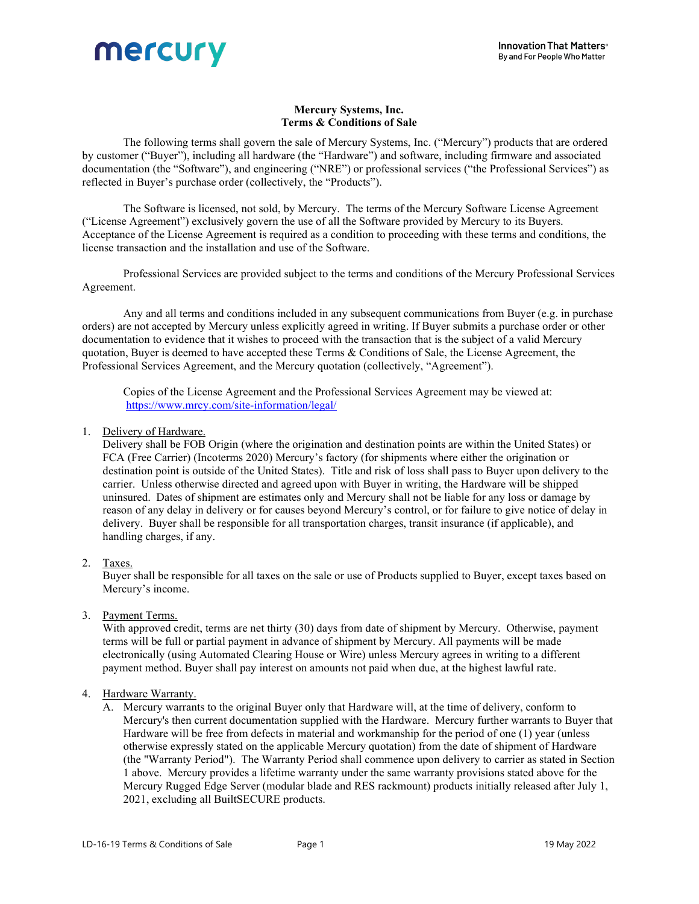

# Mercury Systems, Inc. Terms & Conditions of Sale

The following terms shall govern the sale of Mercury Systems, Inc. ("Mercury") products that are ordered by customer ("Buyer"), including all hardware (the "Hardware") and software, including firmware and associated documentation (the "Software"), and engineering ("NRE") or professional services ("the Professional Services") as reflected in Buyer's purchase order (collectively, the "Products").

The Software is licensed, not sold, by Mercury. The terms of the Mercury Software License Agreement ("License Agreement") exclusively govern the use of all the Software provided by Mercury to its Buyers. Acceptance of the License Agreement is required as a condition to proceeding with these terms and conditions, the license transaction and the installation and use of the Software.

Professional Services are provided subject to the terms and conditions of the Mercury Professional Services Agreement.

Any and all terms and conditions included in any subsequent communications from Buyer (e.g. in purchase orders) are not accepted by Mercury unless explicitly agreed in writing. If Buyer submits a purchase order or other documentation to evidence that it wishes to proceed with the transaction that is the subject of a valid Mercury quotation, Buyer is deemed to have accepted these Terms & Conditions of Sale, the License Agreement, the Professional Services Agreement, and the Mercury quotation (collectively, "Agreement").

Copies of the License Agreement and the Professional Services Agreement may be viewed at: https://www.mrcy.com/site-information/legal/

1. Delivery of Hardware.

 Delivery shall be FOB Origin (where the origination and destination points are within the United States) or FCA (Free Carrier) (Incoterms 2020) Mercury's factory (for shipments where either the origination or destination point is outside of the United States). Title and risk of loss shall pass to Buyer upon delivery to the carrier. Unless otherwise directed and agreed upon with Buyer in writing, the Hardware will be shipped uninsured. Dates of shipment are estimates only and Mercury shall not be liable for any loss or damage by reason of any delay in delivery or for causes beyond Mercury's control, or for failure to give notice of delay in delivery. Buyer shall be responsible for all transportation charges, transit insurance (if applicable), and handling charges, if any.

# 2. Taxes.

 Buyer shall be responsible for all taxes on the sale or use of Products supplied to Buyer, except taxes based on Mercury's income.

3. Payment Terms.

With approved credit, terms are net thirty (30) days from date of shipment by Mercury. Otherwise, payment terms will be full or partial payment in advance of shipment by Mercury. All payments will be made electronically (using Automated Clearing House or Wire) unless Mercury agrees in writing to a different payment method. Buyer shall pay interest on amounts not paid when due, at the highest lawful rate.

#### 4. Hardware Warranty.

A. Mercury warrants to the original Buyer only that Hardware will, at the time of delivery, conform to Mercury's then current documentation supplied with the Hardware. Mercury further warrants to Buyer that Hardware will be free from defects in material and workmanship for the period of one (1) year (unless otherwise expressly stated on the applicable Mercury quotation) from the date of shipment of Hardware (the "Warranty Period"). The Warranty Period shall commence upon delivery to carrier as stated in Section 1 above. Mercury provides a lifetime warranty under the same warranty provisions stated above for the Mercury Rugged Edge Server (modular blade and RES rackmount) products initially released after July 1, 2021, excluding all BuiltSECURE products.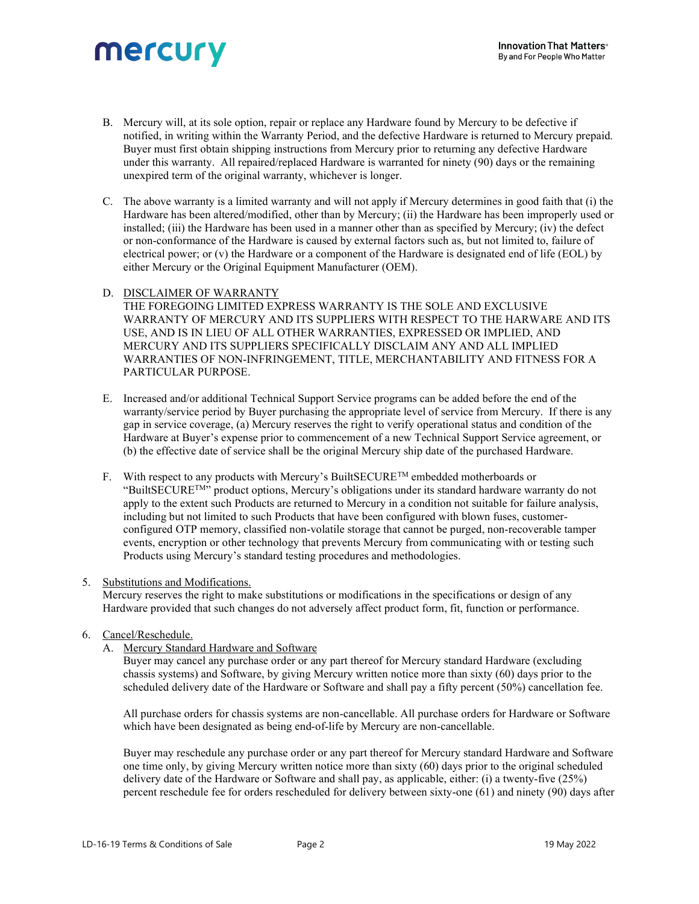# mercury

- B. Mercury will, at its sole option, repair or replace any Hardware found by Mercury to be defective if notified, in writing within the Warranty Period, and the defective Hardware is returned to Mercury prepaid. Buyer must first obtain shipping instructions from Mercury prior to returning any defective Hardware under this warranty. All repaired/replaced Hardware is warranted for ninety (90) days or the remaining unexpired term of the original warranty, whichever is longer.
- C. The above warranty is a limited warranty and will not apply if Mercury determines in good faith that (i) the Hardware has been altered/modified, other than by Mercury; (ii) the Hardware has been improperly used or installed; (iii) the Hardware has been used in a manner other than as specified by Mercury; (iv) the defect or non-conformance of the Hardware is caused by external factors such as, but not limited to, failure of electrical power; or (v) the Hardware or a component of the Hardware is designated end of life (EOL) by either Mercury or the Original Equipment Manufacturer (OEM).

# D. DISCLAIMER OF WARRANTY

 THE FOREGOING LIMITED EXPRESS WARRANTY IS THE SOLE AND EXCLUSIVE WARRANTY OF MERCURY AND ITS SUPPLIERS WITH RESPECT TO THE HARWARE AND ITS USE, AND IS IN LIEU OF ALL OTHER WARRANTIES, EXPRESSED OR IMPLIED, AND MERCURY AND ITS SUPPLIERS SPECIFICALLY DISCLAIM ANY AND ALL IMPLIED WARRANTIES OF NON-INFRINGEMENT, TITLE, MERCHANTABILITY AND FITNESS FOR A PARTICULAR PURPOSE.

- E. Increased and/or additional Technical Support Service programs can be added before the end of the warranty/service period by Buyer purchasing the appropriate level of service from Mercury. If there is any gap in service coverage, (a) Mercury reserves the right to verify operational status and condition of the Hardware at Buyer's expense prior to commencement of a new Technical Support Service agreement, or (b) the effective date of service shall be the original Mercury ship date of the purchased Hardware.
- F. With respect to any products with Mercury's BuiltSECURE<sup>TM</sup> embedded motherboards or "BuiltSECURETM" product options, Mercury's obligations under its standard hardware warranty do not apply to the extent such Products are returned to Mercury in a condition not suitable for failure analysis, including but not limited to such Products that have been configured with blown fuses, customerconfigured OTP memory, classified non-volatile storage that cannot be purged, non-recoverable tamper events, encryption or other technology that prevents Mercury from communicating with or testing such Products using Mercury's standard testing procedures and methodologies.

#### 5. Substitutions and Modifications.

 Mercury reserves the right to make substitutions or modifications in the specifications or design of any Hardware provided that such changes do not adversely affect product form, fit, function or performance.

# 6. Cancel/Reschedule.

A. Mercury Standard Hardware and Software

Buyer may cancel any purchase order or any part thereof for Mercury standard Hardware (excluding chassis systems) and Software, by giving Mercury written notice more than sixty (60) days prior to the scheduled delivery date of the Hardware or Software and shall pay a fifty percent (50%) cancellation fee.

All purchase orders for chassis systems are non-cancellable. All purchase orders for Hardware or Software which have been designated as being end-of-life by Mercury are non-cancellable.

Buyer may reschedule any purchase order or any part thereof for Mercury standard Hardware and Software one time only, by giving Mercury written notice more than sixty (60) days prior to the original scheduled delivery date of the Hardware or Software and shall pay, as applicable, either: (i) a twenty-five (25%) percent reschedule fee for orders rescheduled for delivery between sixty-one (61) and ninety (90) days after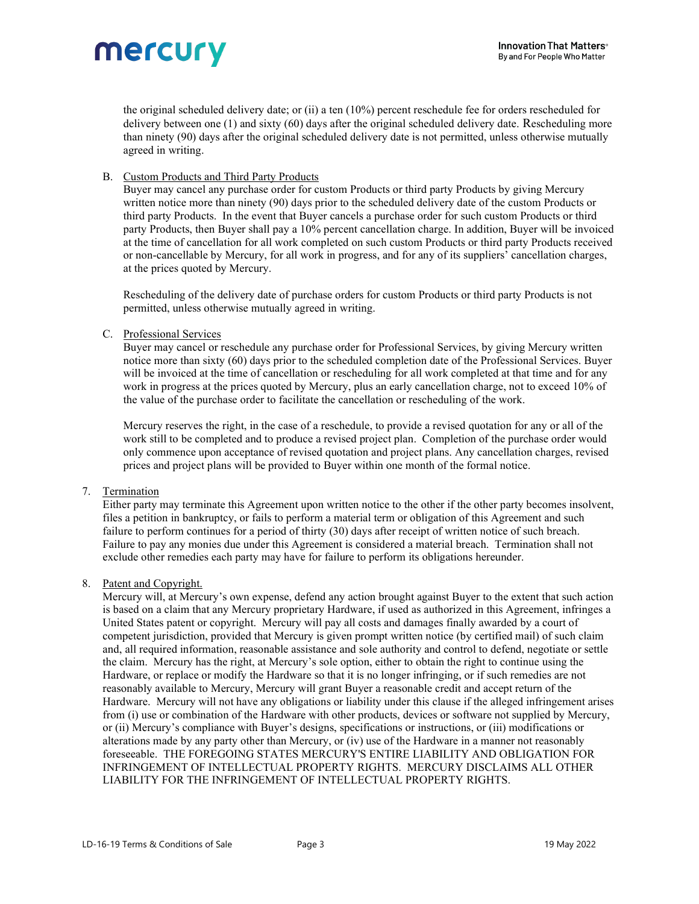

the original scheduled delivery date; or (ii) a ten (10%) percent reschedule fee for orders rescheduled for delivery between one (1) and sixty (60) days after the original scheduled delivery date. Rescheduling more than ninety (90) days after the original scheduled delivery date is not permitted, unless otherwise mutually agreed in writing.

## B. Custom Products and Third Party Products

Buyer may cancel any purchase order for custom Products or third party Products by giving Mercury written notice more than ninety (90) days prior to the scheduled delivery date of the custom Products or third party Products. In the event that Buyer cancels a purchase order for such custom Products or third party Products, then Buyer shall pay a 10% percent cancellation charge. In addition, Buyer will be invoiced at the time of cancellation for all work completed on such custom Products or third party Products received or non-cancellable by Mercury, for all work in progress, and for any of its suppliers' cancellation charges, at the prices quoted by Mercury.

Rescheduling of the delivery date of purchase orders for custom Products or third party Products is not permitted, unless otherwise mutually agreed in writing.

## C. Professional Services

 Buyer may cancel or reschedule any purchase order for Professional Services, by giving Mercury written notice more than sixty (60) days prior to the scheduled completion date of the Professional Services. Buyer will be invoiced at the time of cancellation or rescheduling for all work completed at that time and for any work in progress at the prices quoted by Mercury, plus an early cancellation charge, not to exceed 10% of the value of the purchase order to facilitate the cancellation or rescheduling of the work.

Mercury reserves the right, in the case of a reschedule, to provide a revised quotation for any or all of the work still to be completed and to produce a revised project plan. Completion of the purchase order would only commence upon acceptance of revised quotation and project plans. Any cancellation charges, revised prices and project plans will be provided to Buyer within one month of the formal notice.

# 7. Termination

 Either party may terminate this Agreement upon written notice to the other if the other party becomes insolvent, files a petition in bankruptcy, or fails to perform a material term or obligation of this Agreement and such failure to perform continues for a period of thirty (30) days after receipt of written notice of such breach. Failure to pay any monies due under this Agreement is considered a material breach. Termination shall not exclude other remedies each party may have for failure to perform its obligations hereunder.

#### 8. Patent and Copyright.

 Mercury will, at Mercury's own expense, defend any action brought against Buyer to the extent that such action is based on a claim that any Mercury proprietary Hardware, if used as authorized in this Agreement, infringes a United States patent or copyright. Mercury will pay all costs and damages finally awarded by a court of competent jurisdiction, provided that Mercury is given prompt written notice (by certified mail) of such claim and, all required information, reasonable assistance and sole authority and control to defend, negotiate or settle the claim. Mercury has the right, at Mercury's sole option, either to obtain the right to continue using the Hardware, or replace or modify the Hardware so that it is no longer infringing, or if such remedies are not reasonably available to Mercury, Mercury will grant Buyer a reasonable credit and accept return of the Hardware. Mercury will not have any obligations or liability under this clause if the alleged infringement arises from (i) use or combination of the Hardware with other products, devices or software not supplied by Mercury, or (ii) Mercury's compliance with Buyer's designs, specifications or instructions, or (iii) modifications or alterations made by any party other than Mercury, or (iv) use of the Hardware in a manner not reasonably foreseeable. THE FOREGOING STATES MERCURY'S ENTIRE LIABILITY AND OBLIGATION FOR INFRINGEMENT OF INTELLECTUAL PROPERTY RIGHTS. MERCURY DISCLAIMS ALL OTHER LIABILITY FOR THE INFRINGEMENT OF INTELLECTUAL PROPERTY RIGHTS.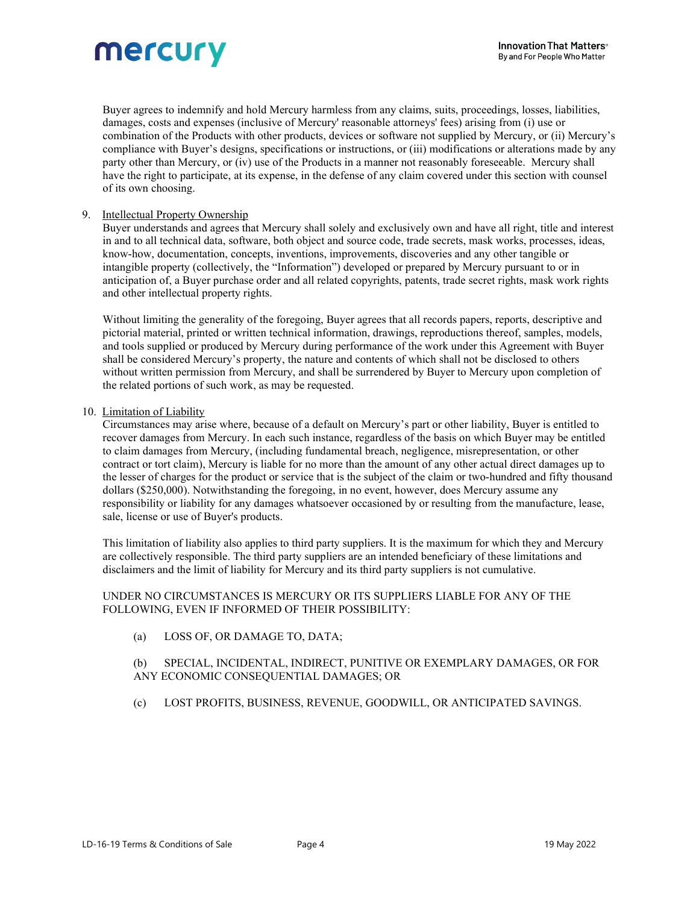

Buyer agrees to indemnify and hold Mercury harmless from any claims, suits, proceedings, losses, liabilities, damages, costs and expenses (inclusive of Mercury' reasonable attorneys' fees) arising from (i) use or combination of the Products with other products, devices or software not supplied by Mercury, or (ii) Mercury's compliance with Buyer's designs, specifications or instructions, or (iii) modifications or alterations made by any party other than Mercury, or (iv) use of the Products in a manner not reasonably foreseeable. Mercury shall have the right to participate, at its expense, in the defense of any claim covered under this section with counsel of its own choosing.

#### 9. Intellectual Property Ownership

Buyer understands and agrees that Mercury shall solely and exclusively own and have all right, title and interest in and to all technical data, software, both object and source code, trade secrets, mask works, processes, ideas, know-how, documentation, concepts, inventions, improvements, discoveries and any other tangible or intangible property (collectively, the "Information") developed or prepared by Mercury pursuant to or in anticipation of, a Buyer purchase order and all related copyrights, patents, trade secret rights, mask work rights and other intellectual property rights.

 Without limiting the generality of the foregoing, Buyer agrees that all records papers, reports, descriptive and pictorial material, printed or written technical information, drawings, reproductions thereof, samples, models, and tools supplied or produced by Mercury during performance of the work under this Agreement with Buyer shall be considered Mercury's property, the nature and contents of which shall not be disclosed to others without written permission from Mercury, and shall be surrendered by Buyer to Mercury upon completion of the related portions of such work, as may be requested.

## 10. Limitation of Liability

Circumstances may arise where, because of a default on Mercury's part or other liability, Buyer is entitled to recover damages from Mercury. In each such instance, regardless of the basis on which Buyer may be entitled to claim damages from Mercury, (including fundamental breach, negligence, misrepresentation, or other contract or tort claim), Mercury is liable for no more than the amount of any other actual direct damages up to the lesser of charges for the product or service that is the subject of the claim or two-hundred and fifty thousand dollars (\$250,000). Notwithstanding the foregoing, in no event, however, does Mercury assume any responsibility or liability for any damages whatsoever occasioned by or resulting from the manufacture, lease, sale, license or use of Buyer's products.

This limitation of liability also applies to third party suppliers. It is the maximum for which they and Mercury are collectively responsible. The third party suppliers are an intended beneficiary of these limitations and disclaimers and the limit of liability for Mercury and its third party suppliers is not cumulative.

## UNDER NO CIRCUMSTANCES IS MERCURY OR ITS SUPPLIERS LIABLE FOR ANY OF THE FOLLOWING, EVEN IF INFORMED OF THEIR POSSIBILITY:

(a) LOSS OF, OR DAMAGE TO, DATA;

## (b) SPECIAL, INCIDENTAL, INDIRECT, PUNITIVE OR EXEMPLARY DAMAGES, OR FOR ANY ECONOMIC CONSEQUENTIAL DAMAGES; OR

(c) LOST PROFITS, BUSINESS, REVENUE, GOODWILL, OR ANTICIPATED SAVINGS.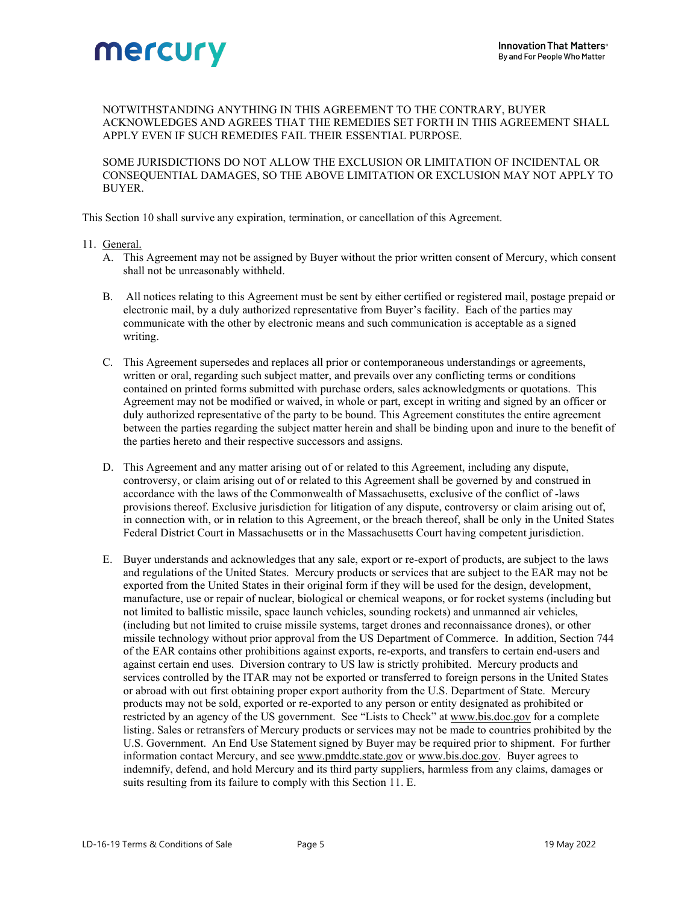

# NOTWITHSTANDING ANYTHING IN THIS AGREEMENT TO THE CONTRARY, BUYER ACKNOWLEDGES AND AGREES THAT THE REMEDIES SET FORTH IN THIS AGREEMENT SHALL APPLY EVEN IF SUCH REMEDIES FAIL THEIR ESSENTIAL PURPOSE.

SOME JURISDICTIONS DO NOT ALLOW THE EXCLUSION OR LIMITATION OF INCIDENTAL OR CONSEQUENTIAL DAMAGES, SO THE ABOVE LIMITATION OR EXCLUSION MAY NOT APPLY TO BUYER.

This Section 10 shall survive any expiration, termination, or cancellation of this Agreement.

## 11. General.

- A. This Agreement may not be assigned by Buyer without the prior written consent of Mercury, which consent shall not be unreasonably withheld.
- B. All notices relating to this Agreement must be sent by either certified or registered mail, postage prepaid or electronic mail, by a duly authorized representative from Buyer's facility. Each of the parties may communicate with the other by electronic means and such communication is acceptable as a signed writing.
- C. This Agreement supersedes and replaces all prior or contemporaneous understandings or agreements, written or oral, regarding such subject matter, and prevails over any conflicting terms or conditions contained on printed forms submitted with purchase orders, sales acknowledgments or quotations. This Agreement may not be modified or waived, in whole or part, except in writing and signed by an officer or duly authorized representative of the party to be bound. This Agreement constitutes the entire agreement between the parties regarding the subject matter herein and shall be binding upon and inure to the benefit of the parties hereto and their respective successors and assigns.
- D. This Agreement and any matter arising out of or related to this Agreement, including any dispute, controversy, or claim arising out of or related to this Agreement shall be governed by and construed in accordance with the laws of the Commonwealth of Massachusetts, exclusive of the conflict of -laws provisions thereof. Exclusive jurisdiction for litigation of any dispute, controversy or claim arising out of, in connection with, or in relation to this Agreement, or the breach thereof, shall be only in the United States Federal District Court in Massachusetts or in the Massachusetts Court having competent jurisdiction.
- E. Buyer understands and acknowledges that any sale, export or re-export of products, are subject to the laws and regulations of the United States. Mercury products or services that are subject to the EAR may not be exported from the United States in their original form if they will be used for the design, development, manufacture, use or repair of nuclear, biological or chemical weapons, or for rocket systems (including but not limited to ballistic missile, space launch vehicles, sounding rockets) and unmanned air vehicles, (including but not limited to cruise missile systems, target drones and reconnaissance drones), or other missile technology without prior approval from the US Department of Commerce. In addition, Section 744 of the EAR contains other prohibitions against exports, re-exports, and transfers to certain end-users and against certain end uses. Diversion contrary to US law is strictly prohibited. Mercury products and services controlled by the ITAR may not be exported or transferred to foreign persons in the United States or abroad with out first obtaining proper export authority from the U.S. Department of State. Mercury products may not be sold, exported or re-exported to any person or entity designated as prohibited or restricted by an agency of the US government. See "Lists to Check" at www.bis.doc.gov for a complete listing. Sales or retransfers of Mercury products or services may not be made to countries prohibited by the U.S. Government. An End Use Statement signed by Buyer may be required prior to shipment. For further information contact Mercury, and see www.pmddtc.state.gov or www.bis.doc.gov. Buyer agrees to indemnify, defend, and hold Mercury and its third party suppliers, harmless from any claims, damages or suits resulting from its failure to comply with this Section 11. E.